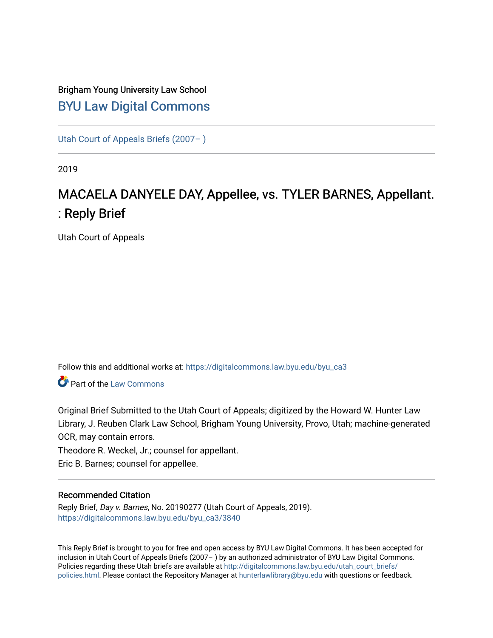## Brigham Young University Law School [BYU Law Digital Commons](https://digitalcommons.law.byu.edu/)

[Utah Court of Appeals Briefs \(2007– \)](https://digitalcommons.law.byu.edu/byu_ca3) 

2019

# MACAELA DANYELE DAY, Appellee, vs. TYLER BARNES, Appellant. : Reply Brief

Utah Court of Appeals

Follow this and additional works at: [https://digitalcommons.law.byu.edu/byu\\_ca3](https://digitalcommons.law.byu.edu/byu_ca3?utm_source=digitalcommons.law.byu.edu%2Fbyu_ca3%2F3840&utm_medium=PDF&utm_campaign=PDFCoverPages) 

**C** Part of the [Law Commons](https://network.bepress.com/hgg/discipline/578?utm_source=digitalcommons.law.byu.edu%2Fbyu_ca3%2F3840&utm_medium=PDF&utm_campaign=PDFCoverPages)

Original Brief Submitted to the Utah Court of Appeals; digitized by the Howard W. Hunter Law Library, J. Reuben Clark Law School, Brigham Young University, Provo, Utah; machine-generated OCR, may contain errors.

Theodore R. Weckel, Jr.; counsel for appellant.

Eric B. Barnes; counsel for appellee.

#### Recommended Citation

Reply Brief, Day v. Barnes, No. 20190277 (Utah Court of Appeals, 2019). [https://digitalcommons.law.byu.edu/byu\\_ca3/3840](https://digitalcommons.law.byu.edu/byu_ca3/3840?utm_source=digitalcommons.law.byu.edu%2Fbyu_ca3%2F3840&utm_medium=PDF&utm_campaign=PDFCoverPages) 

This Reply Brief is brought to you for free and open access by BYU Law Digital Commons. It has been accepted for inclusion in Utah Court of Appeals Briefs (2007– ) by an authorized administrator of BYU Law Digital Commons. Policies regarding these Utah briefs are available at [http://digitalcommons.law.byu.edu/utah\\_court\\_briefs/](http://digitalcommons.law.byu.edu/utah_court_briefs/policies.html) [policies.html](http://digitalcommons.law.byu.edu/utah_court_briefs/policies.html). Please contact the Repository Manager at hunterlawlibrary@byu.edu with questions or feedback.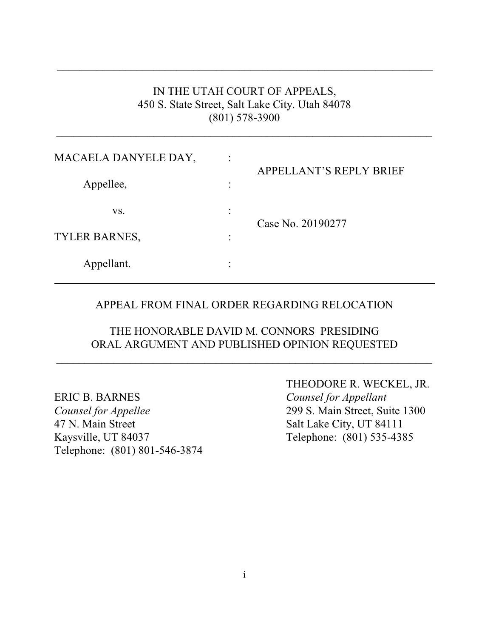## IN THE UTAH COURT OF APPEALS, 450 S. State Street, Salt Lake City. Utah 84078 (801) 578-3900

 $\_$  , and the set of the set of the set of the set of the set of the set of the set of the set of the set of the set of the set of the set of the set of the set of the set of the set of the set of the set of the set of th

 $\overline{\phantom{a}}$  ,  $\overline{\phantom{a}}$  ,  $\overline{\phantom{a}}$  ,  $\overline{\phantom{a}}$  ,  $\overline{\phantom{a}}$  ,  $\overline{\phantom{a}}$  ,  $\overline{\phantom{a}}$  ,  $\overline{\phantom{a}}$  ,  $\overline{\phantom{a}}$  ,  $\overline{\phantom{a}}$  ,  $\overline{\phantom{a}}$  ,  $\overline{\phantom{a}}$  ,  $\overline{\phantom{a}}$  ,  $\overline{\phantom{a}}$  ,  $\overline{\phantom{a}}$  ,  $\overline{\phantom{a}}$ 

| MACAELA DANYELE DAY, | $\bullet$<br>$\ddot{\phantom{0}}$ | <b>APPELLANT'S REPLY BRIEF</b> |
|----------------------|-----------------------------------|--------------------------------|
| Appellee,            | ٠<br>٠                            |                                |
| VS.                  | ٠                                 | Case No. 20190277              |
| TYLER BARNES,        | ٠                                 |                                |
| Appellant.           | ٠                                 |                                |

### APPEAL FROM FINAL ORDER REGARDING RELOCATION

### THE HONORABLE DAVID M. CONNORS PRESIDING ORAL ARGUMENT AND PUBLISHED OPINION REQUESTED

 $\_$  , and the set of the set of the set of the set of the set of the set of the set of the set of the set of the set of the set of the set of the set of the set of the set of the set of the set of the set of the set of th

ERIC B. BARNES *Counsel for Appellant Counsel for Appellee* 299 S. Main Street, Suite 1300 47 N. Main Street Salt Lake City, UT 84111 Kaysville, UT 84037 Telephone: (801) 535-4385 Telephone: (801) 801-546-3874

THEODORE R. WECKEL, JR.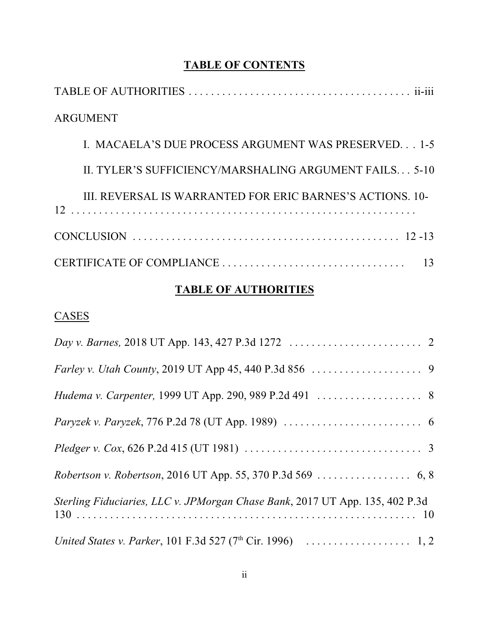### **TABLE OF CONTENTS**

| <b>ARGUMENT</b>                                           |
|-----------------------------------------------------------|
| I. MACAELA'S DUE PROCESS ARGUMENT WAS PRESERVED 1-5       |
| II. TYLER'S SUFFICIENCY/MARSHALING ARGUMENT FAILS 5-10    |
| III. REVERSAL IS WARRANTED FOR ERIC BARNES'S ACTIONS. 10- |
|                                                           |
|                                                           |

## **TABLE OF AUTHORITIES**

## **CASES**

| <i>Pledger v. Cox,</i> 626 P.2d 415 (UT 1981) $\ldots \ldots \ldots \ldots \ldots \ldots \ldots \ldots \ldots \ldots$ |
|-----------------------------------------------------------------------------------------------------------------------|
|                                                                                                                       |
| Sterling Fiduciaries, LLC v. JPMorgan Chase Bank, 2017 UT App. 135, 402 P.3d                                          |
| United States v. Parker, 101 F.3d 527 (7 <sup>th</sup> Cir. 1996) $\ldots \ldots \ldots \ldots \ldots \ldots$ 1, 2    |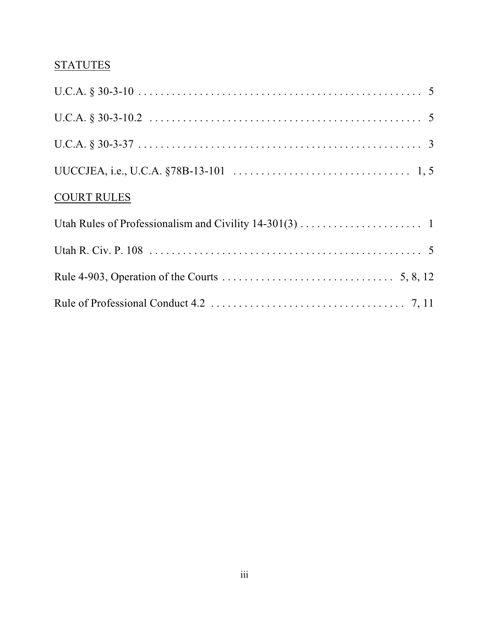## **STATUTES**

| <b>COURT RULES</b> |
|--------------------|
|                    |
|                    |
|                    |
|                    |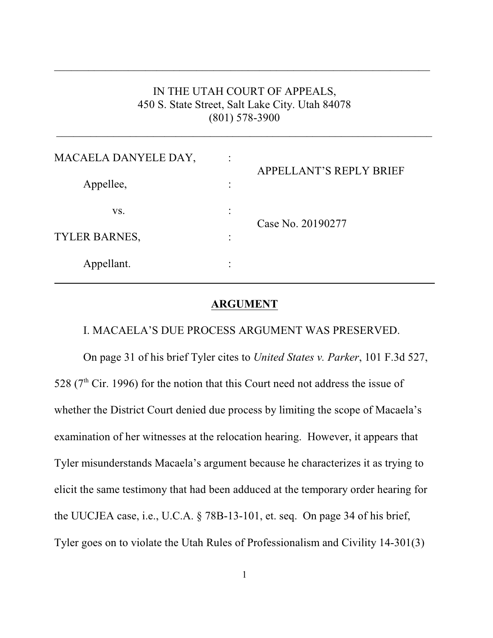## IN THE UTAH COURT OF APPEALS, 450 S. State Street, Salt Lake City. Utah 84078 (801) 578-3900

 $\_$  , and the set of the set of the set of the set of the set of the set of the set of the set of the set of the set of the set of the set of the set of the set of the set of the set of the set of the set of the set of th

 $\_$  , and the set of the set of the set of the set of the set of the set of the set of the set of the set of the set of the set of the set of the set of the set of the set of the set of the set of the set of the set of th

| MACAELA DANYELE DAY, |           | <b>APPELLANT'S REPLY BRIEF</b> |
|----------------------|-----------|--------------------------------|
| Appellee,            | ٠         |                                |
| VS.                  | ٠         | Case No. 20190277              |
| <b>TYLER BARNES,</b> | $\bullet$ |                                |
| Appellant.           |           |                                |

### **ARGUMENT**

#### I. MACAELA'S DUE PROCESS ARGUMENT WAS PRESERVED.

On page 31 of his brief Tyler cites to *United States v. Parker*, 101 F.3d 527, 528 ( $7<sup>th</sup>$  Cir. 1996) for the notion that this Court need not address the issue of whether the District Court denied due process by limiting the scope of Macaela's examination of her witnesses at the relocation hearing. However, it appears that Tyler misunderstands Macaela's argument because he characterizes it as trying to elicit the same testimony that had been adduced at the temporary order hearing for the UUCJEA case, i.e., U.C.A. § 78B-13-101, et. seq. On page 34 of his brief, Tyler goes on to violate the Utah Rules of Professionalism and Civility 14-301(3)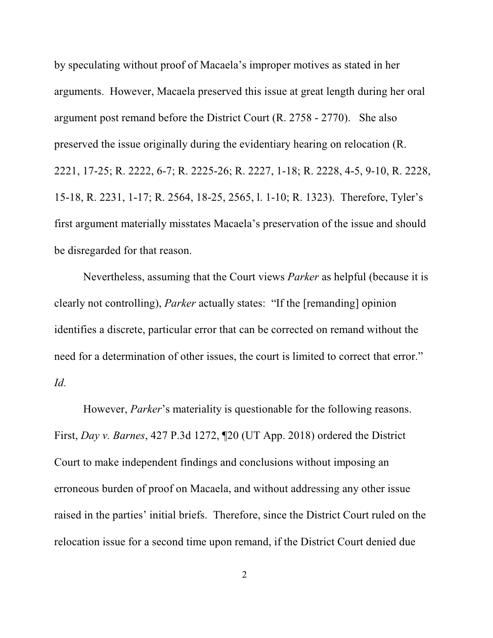by speculating without proof of Macaela's improper motives as stated in her arguments. However, Macaela preserved this issue at great length during her oral argument post remand before the District Court (R. 2758 - 2770). She also preserved the issue originally during the evidentiary hearing on relocation (R. 2221, 17-25; R. 2222, 6-7; R. 2225-26; R. 2227, 1-18; R. 2228, 4-5, 9-10, R. 2228, 15-18, R. 2231, 1-17; R. 2564, 18-25, 2565, l. 1-10; R. 1323). Therefore, Tyler's first argument materially misstates Macaela's preservation of the issue and should be disregarded for that reason.

Nevertheless, assuming that the Court views *Parker* as helpful (because it is clearly not controlling), *Parker* actually states: "If the [remanding] opinion identifies a discrete, particular error that can be corrected on remand without the need for a determination of other issues, the court is limited to correct that error." *Id.*

However, *Parker*'s materiality is questionable for the following reasons. First, *Day v. Barnes*, 427 P.3d 1272, ¶20 (UT App. 2018) ordered the District Court to make independent findings and conclusions without imposing an erroneous burden of proof on Macaela, and without addressing any other issue raised in the parties' initial briefs. Therefore, since the District Court ruled on the relocation issue for a second time upon remand, if the District Court denied due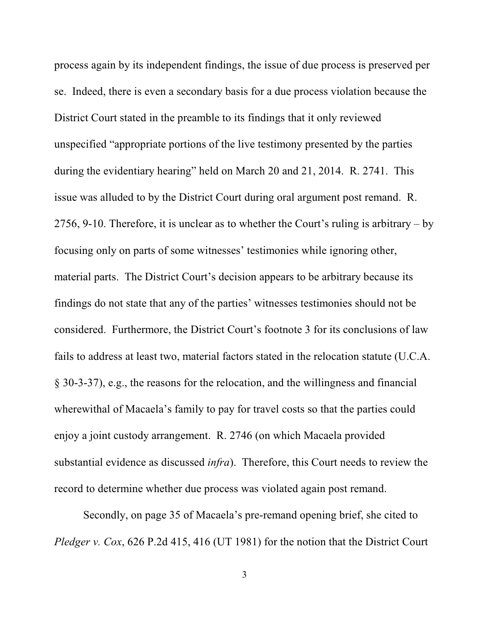process again by its independent findings, the issue of due process is preserved per se. Indeed, there is even a secondary basis for a due process violation because the District Court stated in the preamble to its findings that it only reviewed unspecified "appropriate portions of the live testimony presented by the parties during the evidentiary hearing" held on March 20 and 21, 2014. R. 2741. This issue was alluded to by the District Court during oral argument post remand. R. 2756, 9-10. Therefore, it is unclear as to whether the Court's ruling is arbitrary – by focusing only on parts of some witnesses' testimonies while ignoring other, material parts. The District Court's decision appears to be arbitrary because its findings do not state that any of the parties' witnesses testimonies should not be considered. Furthermore, the District Court's footnote 3 for its conclusions of law fails to address at least two, material factors stated in the relocation statute (U.C.A. § 30-3-37), e.g., the reasons for the relocation, and the willingness and financial wherewithal of Macaela's family to pay for travel costs so that the parties could enjoy a joint custody arrangement. R. 2746 (on which Macaela provided substantial evidence as discussed *infra*). Therefore, this Court needs to review the record to determine whether due process was violated again post remand.

Secondly, on page 35 of Macaela's pre-remand opening brief, she cited to *Pledger v. Cox*, 626 P.2d 415, 416 (UT 1981) for the notion that the District Court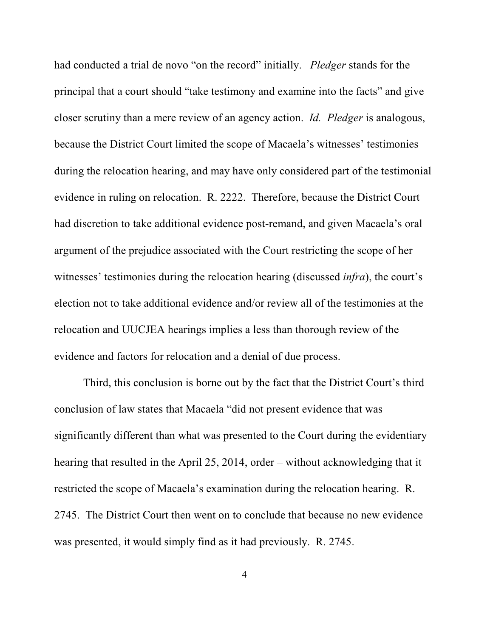had conducted a trial de novo "on the record" initially. *Pledger* stands for the principal that a court should "take testimony and examine into the facts" and give closer scrutiny than a mere review of an agency action. *Id. Pledger* is analogous, because the District Court limited the scope of Macaela's witnesses' testimonies during the relocation hearing, and may have only considered part of the testimonial evidence in ruling on relocation. R. 2222. Therefore, because the District Court had discretion to take additional evidence post-remand, and given Macaela's oral argument of the prejudice associated with the Court restricting the scope of her witnesses' testimonies during the relocation hearing (discussed *infra*), the court's election not to take additional evidence and/or review all of the testimonies at the relocation and UUCJEA hearings implies a less than thorough review of the evidence and factors for relocation and a denial of due process.

Third, this conclusion is borne out by the fact that the District Court's third conclusion of law states that Macaela "did not present evidence that was significantly different than what was presented to the Court during the evidentiary hearing that resulted in the April 25, 2014, order – without acknowledging that it restricted the scope of Macaela's examination during the relocation hearing. R. 2745. The District Court then went on to conclude that because no new evidence was presented, it would simply find as it had previously. R. 2745.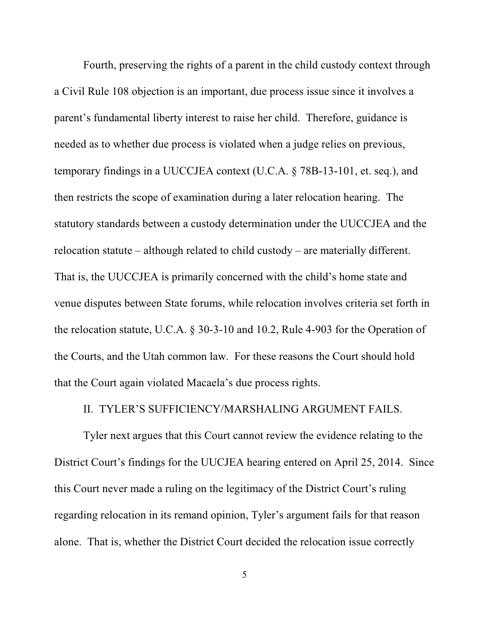Fourth, preserving the rights of a parent in the child custody context through a Civil Rule 108 objection is an important, due process issue since it involves a parent's fundamental liberty interest to raise her child. Therefore, guidance is needed as to whether due process is violated when a judge relies on previous, temporary findings in a UUCCJEA context (U.C.A. § 78B-13-101, et. seq.), and then restricts the scope of examination during a later relocation hearing. The statutory standards between a custody determination under the UUCCJEA and the relocation statute – although related to child custody – are materially different. That is, the UUCCJEA is primarily concerned with the child's home state and venue disputes between State forums, while relocation involves criteria set forth in the relocation statute, U.C.A. § 30-3-10 and 10.2, Rule 4-903 for the Operation of the Courts, and the Utah common law. For these reasons the Court should hold that the Court again violated Macaela's due process rights.

### II. TYLER'S SUFFICIENCY/MARSHALING ARGUMENT FAILS.

Tyler next argues that this Court cannot review the evidence relating to the District Court's findings for the UUCJEA hearing entered on April 25, 2014. Since this Court never made a ruling on the legitimacy of the District Court's ruling regarding relocation in its remand opinion, Tyler's argument fails for that reason alone. That is, whether the District Court decided the relocation issue correctly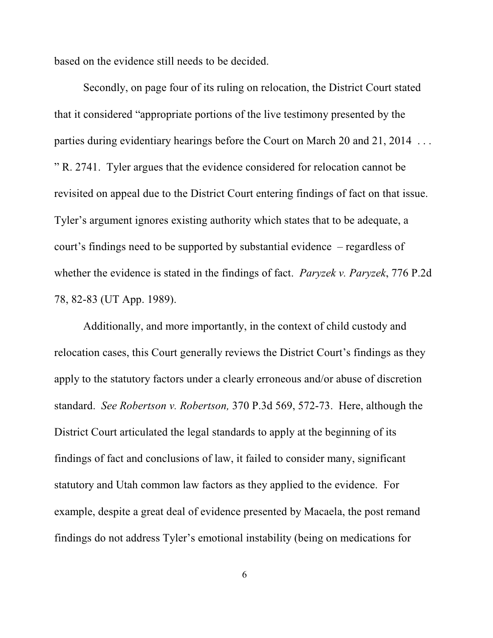based on the evidence still needs to be decided.

Secondly, on page four of its ruling on relocation, the District Court stated that it considered "appropriate portions of the live testimony presented by the parties during evidentiary hearings before the Court on March 20 and 21, 2014 . . . " R. 2741. Tyler argues that the evidence considered for relocation cannot be revisited on appeal due to the District Court entering findings of fact on that issue. Tyler's argument ignores existing authority which states that to be adequate, a court's findings need to be supported by substantial evidence – regardless of whether the evidence is stated in the findings of fact. *Paryzek v. Paryzek*, 776 P.2d 78, 82-83 (UT App. 1989).

Additionally, and more importantly, in the context of child custody and relocation cases, this Court generally reviews the District Court's findings as they apply to the statutory factors under a clearly erroneous and/or abuse of discretion standard. *See Robertson v. Robertson,* 370 P.3d 569, 572-73. Here, although the District Court articulated the legal standards to apply at the beginning of its findings of fact and conclusions of law, it failed to consider many, significant statutory and Utah common law factors as they applied to the evidence. For example, despite a great deal of evidence presented by Macaela, the post remand findings do not address Tyler's emotional instability (being on medications for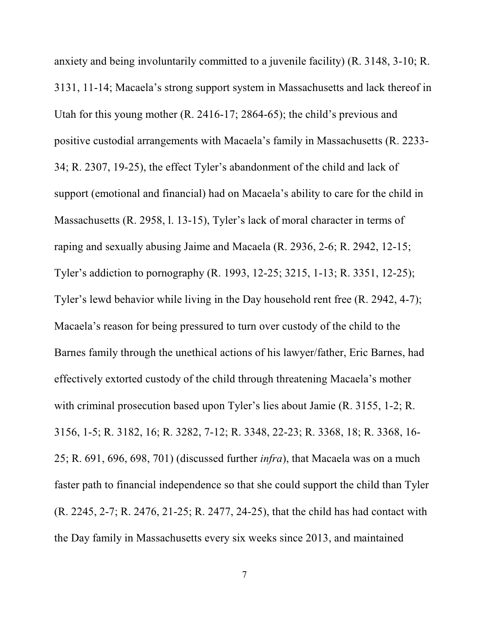anxiety and being involuntarily committed to a juvenile facility) (R. 3148, 3-10; R. 3131, 11-14; Macaela's strong support system in Massachusetts and lack thereof in Utah for this young mother (R. 2416-17; 2864-65); the child's previous and positive custodial arrangements with Macaela's family in Massachusetts (R. 2233- 34; R. 2307, 19-25), the effect Tyler's abandonment of the child and lack of support (emotional and financial) had on Macaela's ability to care for the child in Massachusetts (R. 2958, l. 13-15), Tyler's lack of moral character in terms of raping and sexually abusing Jaime and Macaela (R. 2936, 2-6; R. 2942, 12-15; Tyler's addiction to pornography (R. 1993, 12-25; 3215, 1-13; R. 3351, 12-25); Tyler's lewd behavior while living in the Day household rent free (R. 2942, 4-7); Macaela's reason for being pressured to turn over custody of the child to the Barnes family through the unethical actions of his lawyer/father, Eric Barnes, had effectively extorted custody of the child through threatening Macaela's mother with criminal prosecution based upon Tyler's lies about Jamie (R. 3155, 1-2; R. 3156, 1-5; R. 3182, 16; R. 3282, 7-12; R. 3348, 22-23; R. 3368, 18; R. 3368, 16- 25; R. 691, 696, 698, 701) (discussed further *infra*), that Macaela was on a much faster path to financial independence so that she could support the child than Tyler (R. 2245, 2-7; R. 2476, 21-25; R. 2477, 24-25), that the child has had contact with the Day family in Massachusetts every six weeks since 2013, and maintained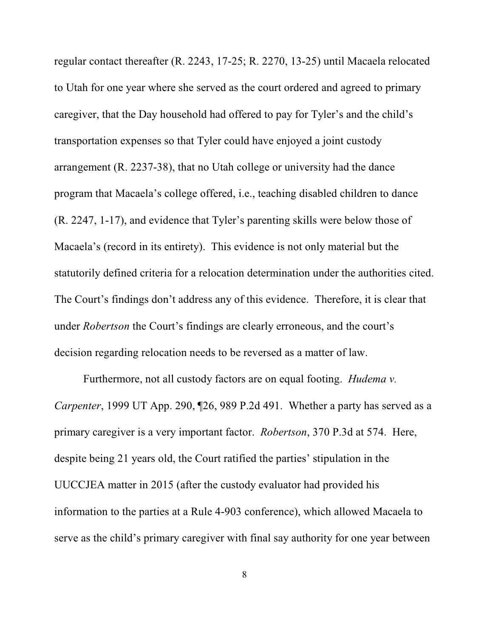regular contact thereafter (R. 2243, 17-25; R. 2270, 13-25) until Macaela relocated to Utah for one year where she served as the court ordered and agreed to primary caregiver, that the Day household had offered to pay for Tyler's and the child's transportation expenses so that Tyler could have enjoyed a joint custody arrangement (R. 2237-38), that no Utah college or university had the dance program that Macaela's college offered, i.e., teaching disabled children to dance (R. 2247, 1-17), and evidence that Tyler's parenting skills were below those of Macaela's (record in its entirety). This evidence is not only material but the statutorily defined criteria for a relocation determination under the authorities cited. The Court's findings don't address any of this evidence. Therefore, it is clear that under *Robertson* the Court's findings are clearly erroneous, and the court's decision regarding relocation needs to be reversed as a matter of law.

Furthermore, not all custody factors are on equal footing. *Hudema v. Carpenter*, 1999 UT App. 290, ¶26, 989 P.2d 491. Whether a party has served as a primary caregiver is a very important factor. *Robertson*, 370 P.3d at 574. Here, despite being 21 years old, the Court ratified the parties' stipulation in the UUCCJEA matter in 2015 (after the custody evaluator had provided his information to the parties at a Rule 4-903 conference), which allowed Macaela to serve as the child's primary caregiver with final say authority for one year between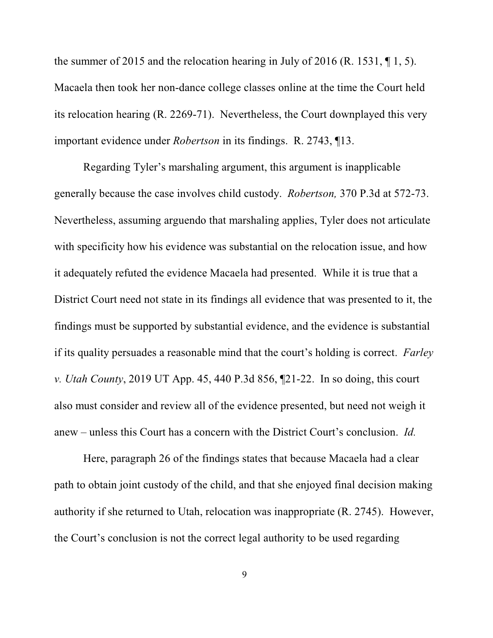the summer of 2015 and the relocation hearing in July of 2016 (R. 1531,  $\P$ 1, 5). Macaela then took her non-dance college classes online at the time the Court held its relocation hearing (R. 2269-71). Nevertheless, the Court downplayed this very important evidence under *Robertson* in its findings. R. 2743, ¶13.

Regarding Tyler's marshaling argument, this argument is inapplicable generally because the case involves child custody. *Robertson,* 370 P.3d at 572-73. Nevertheless, assuming arguendo that marshaling applies, Tyler does not articulate with specificity how his evidence was substantial on the relocation issue, and how it adequately refuted the evidence Macaela had presented. While it is true that a District Court need not state in its findings all evidence that was presented to it, the findings must be supported by substantial evidence, and the evidence is substantial if its quality persuades a reasonable mind that the court's holding is correct. *Farley v. Utah County*, 2019 UT App. 45, 440 P.3d 856, ¶21-22. In so doing, this court also must consider and review all of the evidence presented, but need not weigh it anew – unless this Court has a concern with the District Court's conclusion. *Id.*

Here, paragraph 26 of the findings states that because Macaela had a clear path to obtain joint custody of the child, and that she enjoyed final decision making authority if she returned to Utah, relocation was inappropriate (R. 2745). However, the Court's conclusion is not the correct legal authority to be used regarding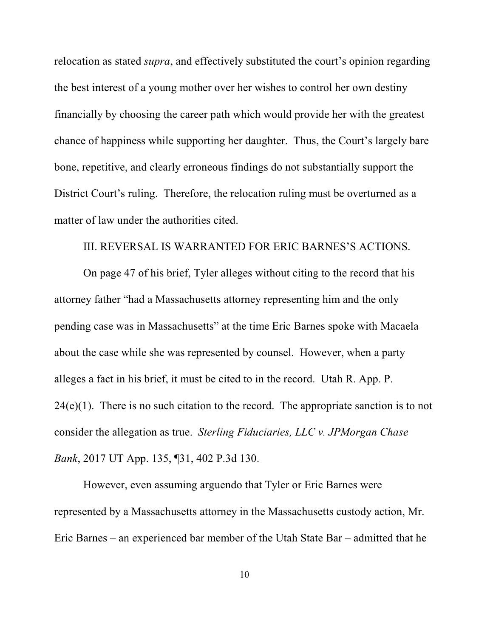relocation as stated *supra*, and effectively substituted the court's opinion regarding the best interest of a young mother over her wishes to control her own destiny financially by choosing the career path which would provide her with the greatest chance of happiness while supporting her daughter. Thus, the Court's largely bare bone, repetitive, and clearly erroneous findings do not substantially support the District Court's ruling. Therefore, the relocation ruling must be overturned as a matter of law under the authorities cited.

### III. REVERSAL IS WARRANTED FOR ERIC BARNES'S ACTIONS.

On page 47 of his brief, Tyler alleges without citing to the record that his attorney father "had a Massachusetts attorney representing him and the only pending case was in Massachusetts" at the time Eric Barnes spoke with Macaela about the case while she was represented by counsel. However, when a party alleges a fact in his brief, it must be cited to in the record. Utah R. App. P.  $24(e)(1)$ . There is no such citation to the record. The appropriate sanction is to not consider the allegation as true. *Sterling Fiduciaries, LLC v. JPMorgan Chase Bank*, 2017 UT App. 135, ¶31, 402 P.3d 130.

However, even assuming arguendo that Tyler or Eric Barnes were represented by a Massachusetts attorney in the Massachusetts custody action, Mr. Eric Barnes – an experienced bar member of the Utah State Bar – admitted that he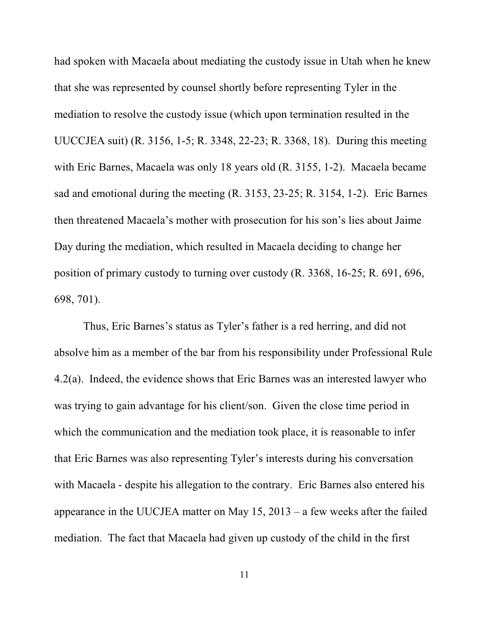had spoken with Macaela about mediating the custody issue in Utah when he knew that she was represented by counsel shortly before representing Tyler in the mediation to resolve the custody issue (which upon termination resulted in the UUCCJEA suit) (R. 3156, 1-5; R. 3348, 22-23; R. 3368, 18). During this meeting with Eric Barnes, Macaela was only 18 years old (R. 3155, 1-2). Macaela became sad and emotional during the meeting (R. 3153, 23-25; R. 3154, 1-2). Eric Barnes then threatened Macaela's mother with prosecution for his son's lies about Jaime Day during the mediation, which resulted in Macaela deciding to change her position of primary custody to turning over custody (R. 3368, 16-25; R. 691, 696, 698, 701).

Thus, Eric Barnes's status as Tyler's father is a red herring, and did not absolve him as a member of the bar from his responsibility under Professional Rule 4.2(a). Indeed, the evidence shows that Eric Barnes was an interested lawyer who was trying to gain advantage for his client/son. Given the close time period in which the communication and the mediation took place, it is reasonable to infer that Eric Barnes was also representing Tyler's interests during his conversation with Macaela - despite his allegation to the contrary. Eric Barnes also entered his appearance in the UUCJEA matter on May 15, 2013 – a few weeks after the failed mediation. The fact that Macaela had given up custody of the child in the first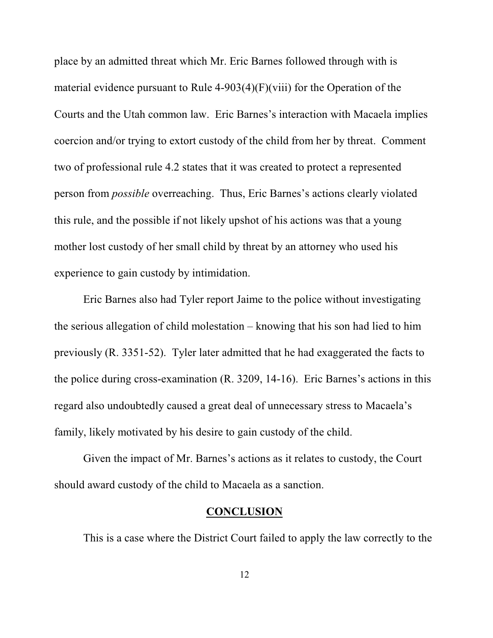place by an admitted threat which Mr. Eric Barnes followed through with is material evidence pursuant to Rule 4-903(4)(F)(viii) for the Operation of the Courts and the Utah common law. Eric Barnes's interaction with Macaela implies coercion and/or trying to extort custody of the child from her by threat. Comment two of professional rule 4.2 states that it was created to protect a represented person from *possible* overreaching. Thus, Eric Barnes's actions clearly violated this rule, and the possible if not likely upshot of his actions was that a young mother lost custody of her small child by threat by an attorney who used his experience to gain custody by intimidation.

Eric Barnes also had Tyler report Jaime to the police without investigating the serious allegation of child molestation – knowing that his son had lied to him previously (R. 3351-52). Tyler later admitted that he had exaggerated the facts to the police during cross-examination (R. 3209, 14-16). Eric Barnes's actions in this regard also undoubtedly caused a great deal of unnecessary stress to Macaela's family, likely motivated by his desire to gain custody of the child.

Given the impact of Mr. Barnes's actions as it relates to custody, the Court should award custody of the child to Macaela as a sanction.

#### **CONCLUSION**

This is a case where the District Court failed to apply the law correctly to the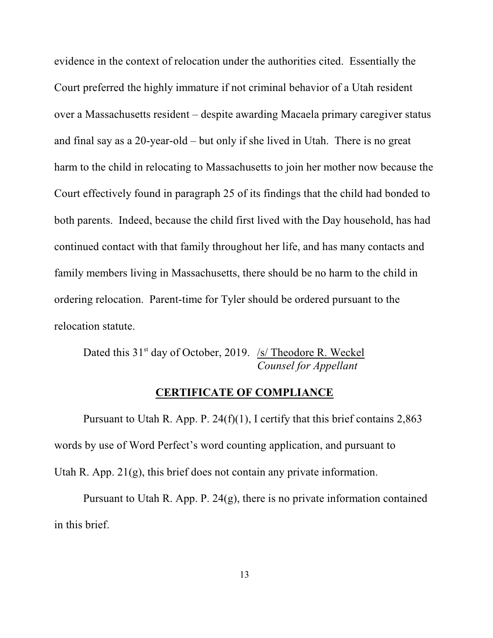evidence in the context of relocation under the authorities cited. Essentially the Court preferred the highly immature if not criminal behavior of a Utah resident over a Massachusetts resident – despite awarding Macaela primary caregiver status and final say as a 20-year-old – but only if she lived in Utah. There is no great harm to the child in relocating to Massachusetts to join her mother now because the Court effectively found in paragraph 25 of its findings that the child had bonded to both parents. Indeed, because the child first lived with the Day household, has had continued contact with that family throughout her life, and has many contacts and family members living in Massachusetts, there should be no harm to the child in ordering relocation. Parent-time for Tyler should be ordered pursuant to the relocation statute.

Dated this 31<sup>st</sup> day of October, 2019. /s/ Theodore R. Weckel *Counsel for Appellant*

### **CERTIFICATE OF COMPLIANCE**

Pursuant to Utah R. App. P. 24(f)(1), I certify that this brief contains 2,863 words by use of Word Perfect's word counting application, and pursuant to Utah R. App. 21(g), this brief does not contain any private information.

Pursuant to Utah R. App. P.  $24(g)$ , there is no private information contained in this brief.